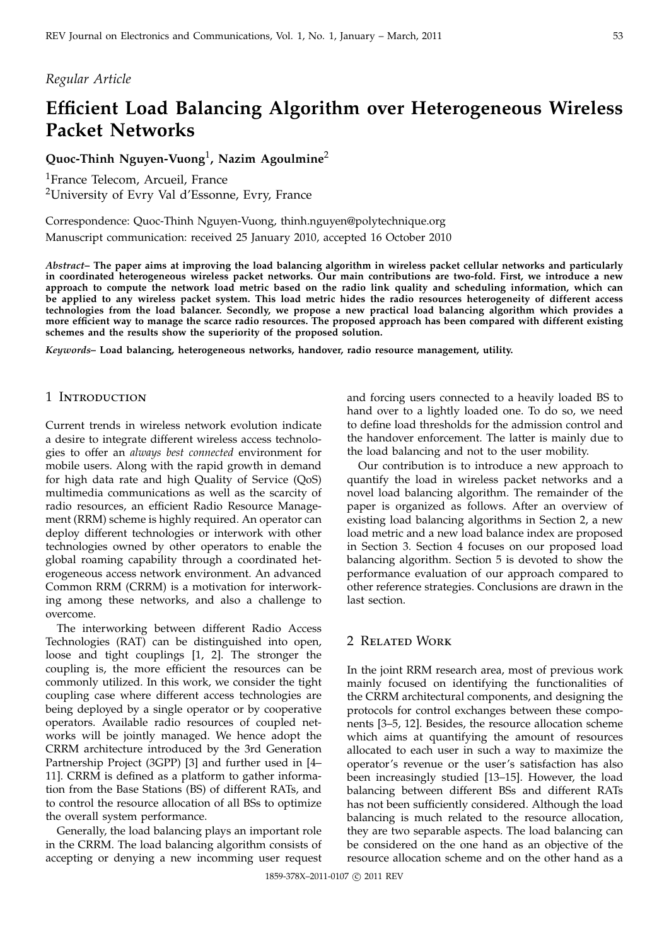# **Efficient Load Balancing Algorithm over Heterogeneous Wireless Packet Networks**

## **Quoc-Thinh Nguyen-Vuong**<sup>1</sup> **, Nazim Agoulmine**<sup>2</sup>

<sup>1</sup>France Telecom, Arcueil, France <sup>2</sup>University of Evry Val d'Essonne, Evry, France

Correspondence: Quoc-Thinh Nguyen-Vuong, thinh.nguyen@polytechnique.org

Manuscript communication: received 25 January 2010, accepted 16 October 2010

*Abstract***– The paper aims at improving the load balancing algorithm in wireless packet cellular networks and particularly in coordinated heterogeneous wireless packet networks. Our main contributions are two-fold. First, we introduce a new approach to compute the network load metric based on the radio link quality and scheduling information, which can be applied to any wireless packet system. This load metric hides the radio resources heterogeneity of different access technologies from the load balancer. Secondly, we propose a new practical load balancing algorithm which provides a more efficient way to manage the scarce radio resources. The proposed approach has been compared with different existing schemes and the results show the superiority of the proposed solution.**

*Keywords***– Load balancing, heterogeneous networks, handover, radio resource management, utility.**

### 1 Introduction

Current trends in wireless network evolution indicate a desire to integrate different wireless access technologies to offer an *always best connected* environment for mobile users. Along with the rapid growth in demand for high data rate and high Quality of Service (QoS) multimedia communications as well as the scarcity of radio resources, an efficient Radio Resource Management (RRM) scheme is highly required. An operator can deploy different technologies or interwork with other technologies owned by other operators to enable the global roaming capability through a coordinated heterogeneous access network environment. An advanced Common RRM (CRRM) is a motivation for interworking among these networks, and also a challenge to overcome.

The interworking between different Radio Access Technologies (RAT) can be distinguished into open, loose and tight couplings [1, 2]. The stronger the coupling is, the more efficient the resources can be commonly utilized. In this work, we consider the tight coupling case where different access technologies are being deployed by a single operator or by cooperative operators. Available radio resources of coupled networks will be jointly managed. We hence adopt the CRRM architecture introduced by the 3rd Generation Partnership Project (3GPP) [3] and further used in [4– 11]. CRRM is defined as a platform to gather information from the Base Stations (BS) of different RATs, and to control the resource allocation of all BSs to optimize the overall system performance.

Generally, the load balancing plays an important role in the CRRM. The load balancing algorithm consists of accepting or denying a new incomming user request and forcing users connected to a heavily loaded BS to hand over to a lightly loaded one. To do so, we need to define load thresholds for the admission control and the handover enforcement. The latter is mainly due to the load balancing and not to the user mobility.

Our contribution is to introduce a new approach to quantify the load in wireless packet networks and a novel load balancing algorithm. The remainder of the paper is organized as follows. After an overview of existing load balancing algorithms in Section 2, a new load metric and a new load balance index are proposed in Section 3. Section 4 focuses on our proposed load balancing algorithm. Section 5 is devoted to show the performance evaluation of our approach compared to other reference strategies. Conclusions are drawn in the last section.

## 2 Related Work

In the joint RRM research area, most of previous work mainly focused on identifying the functionalities of the CRRM architectural components, and designing the protocols for control exchanges between these components [3–5, 12]. Besides, the resource allocation scheme which aims at quantifying the amount of resources allocated to each user in such a way to maximize the operator's revenue or the user's satisfaction has also been increasingly studied [13–15]. However, the load balancing between different BSs and different RATs has not been sufficiently considered. Although the load balancing is much related to the resource allocation, they are two separable aspects. The load balancing can be considered on the one hand as an objective of the resource allocation scheme and on the other hand as a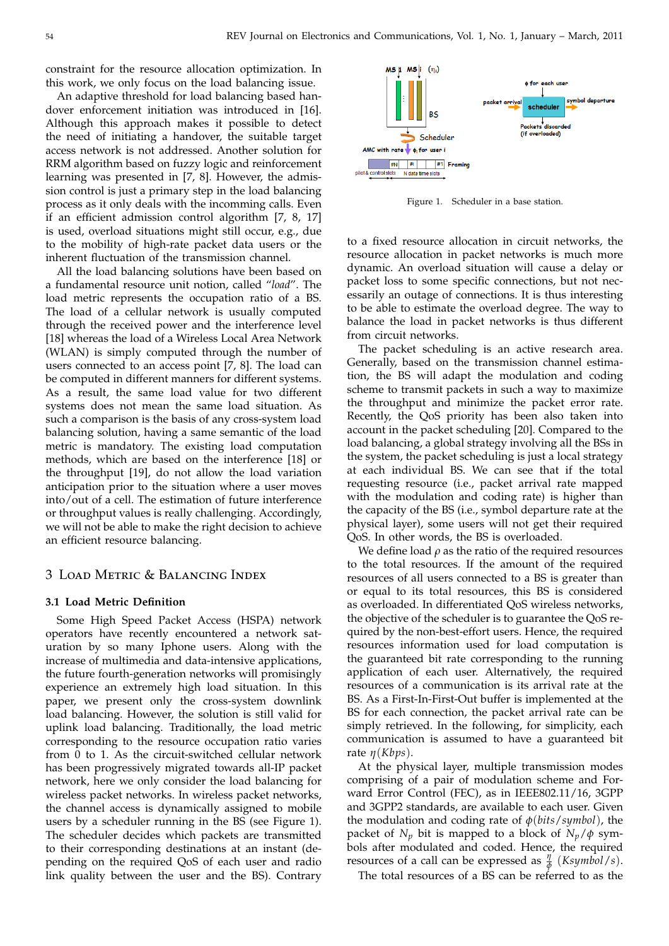constraint for the resource allocation optimization. In this work, we only focus on the load balancing issue.

An adaptive threshold for load balancing based handover enforcement initiation was introduced in [16]. Although this approach makes it possible to detect the need of initiating a handover, the suitable target access network is not addressed. Another solution for RRM algorithm based on fuzzy logic and reinforcement learning was presented in [7, 8]. However, the admission control is just a primary step in the load balancing process as it only deals with the incomming calls. Even if an efficient admission control algorithm [7, 8, 17] is used, overload situations might still occur, e.g., due to the mobility of high-rate packet data users or the inherent fluctuation of the transmission channel.

All the load balancing solutions have been based on a fundamental resource unit notion, called "*load*". The load metric represents the occupation ratio of a BS. The load of a cellular network is usually computed through the received power and the interference level [18] whereas the load of a Wireless Local Area Network (WLAN) is simply computed through the number of users connected to an access point [7, 8]. The load can be computed in different manners for different systems. As a result, the same load value for two different systems does not mean the same load situation. As such a comparison is the basis of any cross-system load balancing solution, having a same semantic of the load metric is mandatory. The existing load computation methods, which are based on the interference [18] or the throughput [19], do not allow the load variation anticipation prior to the situation where a user moves into/out of a cell. The estimation of future interference or throughput values is really challenging. Accordingly, we will not be able to make the right decision to achieve an efficient resource balancing.

#### 3 Load Metric & Balancing Index

#### **3.1 Load Metric Definition**

Some High Speed Packet Access (HSPA) network operators have recently encountered a network saturation by so many Iphone users. Along with the increase of multimedia and data-intensive applications, the future fourth-generation networks will promisingly experience an extremely high load situation. In this paper, we present only the cross-system downlink load balancing. However, the solution is still valid for uplink load balancing. Traditionally, the load metric corresponding to the resource occupation ratio varies from 0 to 1. As the circuit-switched cellular network has been progressively migrated towards all-IP packet network, here we only consider the load balancing for wireless packet networks. In wireless packet networks, the channel access is dynamically assigned to mobile users by a scheduler running in the BS (see Figure 1). The scheduler decides which packets are transmitted to their corresponding destinations at an instant (depending on the required QoS of each user and radio link quality between the user and the BS). Contrary



Figure 1. Scheduler in a base station.

to a fixed resource allocation in circuit networks, the resource allocation in packet networks is much more dynamic. An overload situation will cause a delay or packet loss to some specific connections, but not necessarily an outage of connections. It is thus interesting to be able to estimate the overload degree. The way to balance the load in packet networks is thus different from circuit networks.

The packet scheduling is an active research area. Generally, based on the transmission channel estimation, the BS will adapt the modulation and coding scheme to transmit packets in such a way to maximize the throughput and minimize the packet error rate. Recently, the QoS priority has been also taken into account in the packet scheduling [20]. Compared to the load balancing, a global strategy involving all the BSs in the system, the packet scheduling is just a local strategy at each individual BS. We can see that if the total requesting resource (i.e., packet arrival rate mapped with the modulation and coding rate) is higher than the capacity of the BS (i.e., symbol departure rate at the physical layer), some users will not get their required QoS. In other words, the BS is overloaded.

We define load  $\rho$  as the ratio of the required resources to the total resources. If the amount of the required resources of all users connected to a BS is greater than or equal to its total resources, this BS is considered as overloaded. In differentiated QoS wireless networks, the objective of the scheduler is to guarantee the QoS required by the non-best-effort users. Hence, the required resources information used for load computation is the guaranteed bit rate corresponding to the running application of each user. Alternatively, the required resources of a communication is its arrival rate at the BS. As a First-In-First-Out buffer is implemented at the BS for each connection, the packet arrival rate can be simply retrieved. In the following, for simplicity, each communication is assumed to have a guaranteed bit rate *η*(*Kbps*).

At the physical layer, multiple transmission modes comprising of a pair of modulation scheme and Forward Error Control (FEC), as in IEEE802.11/16, 3GPP and 3GPP2 standards, are available to each user. Given the modulation and coding rate of *φ*(*bits*/*symbol*), the packet of  $N_p$  bit is mapped to a block of  $N_p/\phi$  symbols after modulated and coded. Hence, the required resources of a call can be expressed as  $\frac{\eta}{\phi}$  (*Ksymbol*/*s*).

The total resources of a BS can be referred to as the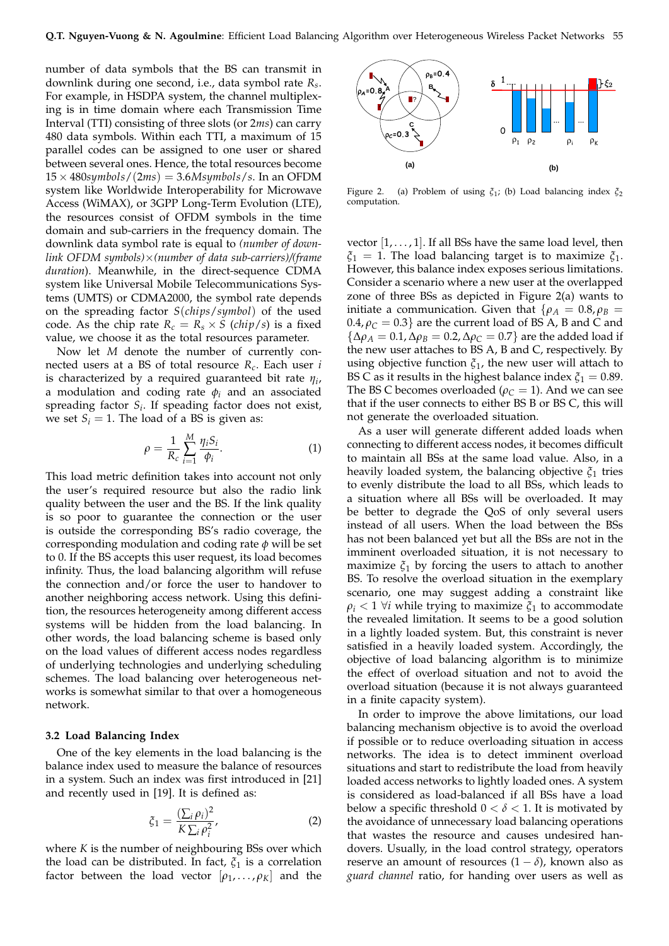number of data symbols that the BS can transmit in downlink during one second, i.e., data symbol rate *R<sup>s</sup>* . For example, in HSDPA system, the channel multiplexing is in time domain where each Transmission Time Interval (TTI) consisting of three slots (or 2*ms*) can carry 480 data symbols. Within each TTI, a maximum of 15 parallel codes can be assigned to one user or shared between several ones. Hence, the total resources become  $15 \times 480$ *symbols*/(2*ms*) = 3.6*Msymbols*/*s*. In an OFDM system like Worldwide Interoperability for Microwave Access (WiMAX), or 3GPP Long-Term Evolution (LTE), the resources consist of OFDM symbols in the time domain and sub-carriers in the frequency domain. The downlink data symbol rate is equal to *(number of downlink OFDM symbols)*×*(number of data sub-carriers)/(frame duration*). Meanwhile, in the direct-sequence CDMA system like Universal Mobile Telecommunications Systems (UMTS) or CDMA2000, the symbol rate depends on the spreading factor *S*(*chips*/*symbol*) of the used code. As the chip rate  $R_c = R_s \times S$  (*chip*/*s*) is a fixed value, we choose it as the total resources parameter.

Now let *M* denote the number of currently connected users at a BS of total resource *Rc*. Each user *i* is characterized by a required guaranteed bit rate *η<sup>i</sup>* , a modulation and coding rate *φ<sup>i</sup>* and an associated spreading factor *S<sup>i</sup>* . If speading factor does not exist, we set  $S_i = 1$ . The load of a BS is given as:

$$
\rho = \frac{1}{R_c} \sum_{i=1}^{M} \frac{\eta_i S_i}{\phi_i}.
$$
\n(1)

This load metric definition takes into account not only the user's required resource but also the radio link quality between the user and the BS. If the link quality is so poor to guarantee the connection or the user is outside the corresponding BS's radio coverage, the corresponding modulation and coding rate *φ* will be set to 0. If the BS accepts this user request, its load becomes infinity. Thus, the load balancing algorithm will refuse the connection and/or force the user to handover to another neighboring access network. Using this definition, the resources heterogeneity among different access systems will be hidden from the load balancing. In other words, the load balancing scheme is based only on the load values of different access nodes regardless of underlying technologies and underlying scheduling schemes. The load balancing over heterogeneous networks is somewhat similar to that over a homogeneous network.

#### **3.2 Load Balancing Index**

One of the key elements in the load balancing is the balance index used to measure the balance of resources in a system. Such an index was first introduced in [21] and recently used in [19]. It is defined as:

$$
\xi_1 = \frac{(\sum_i \rho_i)^2}{K \sum_i \rho_i^2},\tag{2}
$$

where *K* is the number of neighbouring BSs over which the load can be distributed. In fact,  $\xi_1$  is a correlation factor between the load vector  $[\rho_1, \ldots, \rho_K]$  and the



Figure 2. (a) Problem of using *ξ*1; (b) Load balancing index *ξ*<sup>2</sup> computation.

vector  $[1, \ldots, 1]$ . If all BSs have the same load level, then *ξ*<sup>1</sup> = 1. The load balancing target is to maximize *ξ*1. However, this balance index exposes serious limitations. Consider a scenario where a new user at the overlapped zone of three BSs as depicted in Figure 2(a) wants to initiate a communication. Given that  $\{\rho_A = 0.8, \rho_B =$ 0.4,  $\rho_C = 0.3$ } are the current load of BS A, B and C and  $\{\Delta \rho_A = 0.1, \Delta \rho_B = 0.2, \Delta \rho_C = 0.7\}$  are the added load if the new user attaches to BS A, B and C, respectively. By using objective function *ξ*1, the new user will attach to BS C as it results in the highest balance index  $\zeta_1 = 0.89$ . The BS C becomes overloaded ( $\rho_C = 1$ ). And we can see that if the user connects to either BS B or BS C, this will not generate the overloaded situation.

As a user will generate different added loads when connecting to different access nodes, it becomes difficult to maintain all BSs at the same load value. Also, in a heavily loaded system, the balancing objective *ξ*<sup>1</sup> tries to evenly distribute the load to all BSs, which leads to a situation where all BSs will be overloaded. It may be better to degrade the QoS of only several users instead of all users. When the load between the BSs has not been balanced yet but all the BSs are not in the imminent overloaded situation, it is not necessary to maximize *ξ*<sup>1</sup> by forcing the users to attach to another BS. To resolve the overload situation in the exemplary scenario, one may suggest adding a constraint like  $\rho_i$  < 1  $\forall i$  while trying to maximize  $\xi_1$  to accommodate the revealed limitation. It seems to be a good solution in a lightly loaded system. But, this constraint is never satisfied in a heavily loaded system. Accordingly, the objective of load balancing algorithm is to minimize the effect of overload situation and not to avoid the overload situation (because it is not always guaranteed in a finite capacity system).

In order to improve the above limitations, our load balancing mechanism objective is to avoid the overload if possible or to reduce overloading situation in access networks. The idea is to detect imminent overload situations and start to redistribute the load from heavily loaded access networks to lightly loaded ones. A system is considered as load-balanced if all BSs have a load below a specific threshold  $0 < \delta < 1$ . It is motivated by the avoidance of unnecessary load balancing operations that wastes the resource and causes undesired handovers. Usually, in the load control strategy, operators reserve an amount of resources  $(1 - \delta)$ , known also as *guard channel* ratio, for handing over users as well as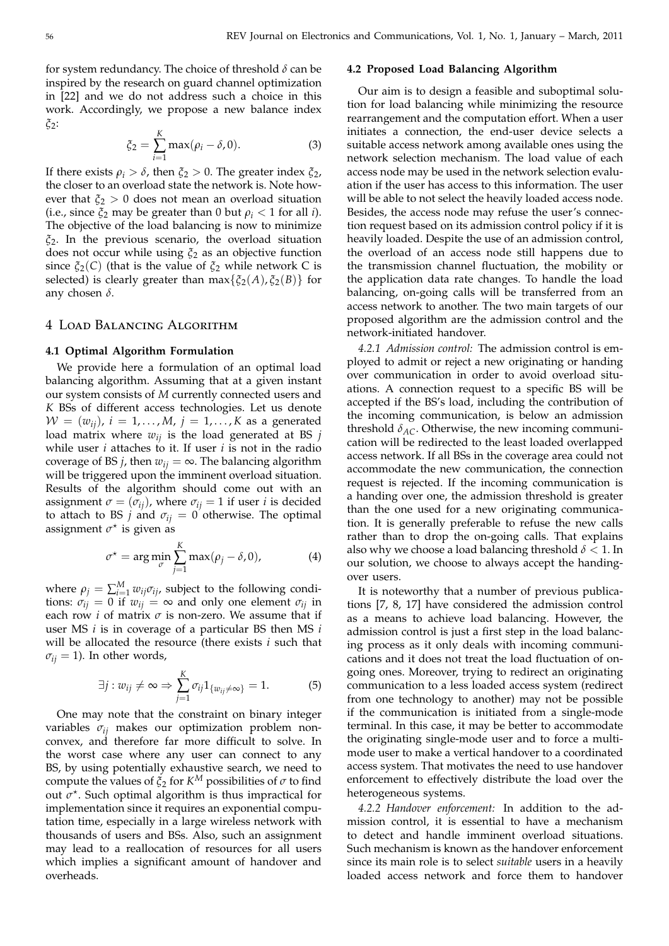for system redundancy. The choice of threshold *δ* can be inspired by the research on guard channel optimization in [22] and we do not address such a choice in this work. Accordingly, we propose a new balance index *ξ*2:

$$
\xi_2 = \sum_{i=1}^K \max(\rho_i - \delta, 0). \tag{3}
$$

If there exists *ρ<sup>i</sup>* > *δ*, then *ξ*<sup>2</sup> > 0. The greater index *ξ*2, the closer to an overload state the network is. Note however that *ξ*<sup>2</sup> > 0 does not mean an overload situation (i.e., since  $\xi_2$  may be greater than 0 but  $\rho_i < 1$  for all *i*). The objective of the load balancing is now to minimize *ξ*2. In the previous scenario, the overload situation does not occur while using *ξ*<sup>2</sup> as an objective function since  $\zeta_2(C)$  (that is the value of  $\zeta_2$  while network C is selected) is clearly greater than  $max{\{\xi_2(A), \xi_2(B)\}}$  for any chosen *δ*.

## 4 Load Balancing Algorithm

#### **4.1 Optimal Algorithm Formulation**

We provide here a formulation of an optimal load balancing algorithm. Assuming that at a given instant our system consists of *M* currently connected users and *K* BSs of different access technologies. Let us denote  $W = (w_{ij})$ ,  $i = 1,..., M$ ,  $j = 1,..., K$  as a generated load matrix where  $w_{ij}$  is the load generated at BS  $j$ while user *i* attaches to it. If user *i* is not in the radio coverage of BS *j*, then  $w_{ij} = \infty$ . The balancing algorithm will be triggered upon the imminent overload situation. Results of the algorithm should come out with an assignment  $\sigma = (\sigma_{ij})$ , where  $\sigma_{ij} = 1$  if user *i* is decided to attach to BS *j* and  $\sigma_{ij} = 0$  otherwise. The optimal assignment *σ*<sup>\*</sup> is given as

$$
\sigma^* = \arg\min_{\sigma} \sum_{j=1}^K \max(\rho_j - \delta, 0), \tag{4}
$$

where  $\rho_j = \sum_{i=1}^{M} w_{ij} \sigma_{ij}$ , subject to the following conditions:  $\sigma_{ij} = 0$  if  $w_{ij} = \infty$  and only one element  $\sigma_{ij}$  in each row *i* of matrix  $\sigma$  is non-zero. We assume that if user MS *i* is in coverage of a particular BS then MS *i* will be allocated the resource (there exists *i* such that  $\sigma_{ij}$  = 1). In other words,

$$
\exists j: w_{ij} \neq \infty \Rightarrow \sum_{j=1}^{K} \sigma_{ij} 1_{\{w_{ij} \neq \infty\}} = 1. \tag{5}
$$

One may note that the constraint on binary integer variables *σij* makes our optimization problem nonconvex, and therefore far more difficult to solve. In the worst case where any user can connect to any BS, by using potentially exhaustive search, we need to compute the values of  $\tilde{\zeta}_2$  for  $K^M$  possibilities of  $\sigma$  to find out *σ* ? . Such optimal algorithm is thus impractical for implementation since it requires an exponential computation time, especially in a large wireless network with thousands of users and BSs. Also, such an assignment may lead to a reallocation of resources for all users which implies a significant amount of handover and overheads.

#### **4.2 Proposed Load Balancing Algorithm**

Our aim is to design a feasible and suboptimal solution for load balancing while minimizing the resource rearrangement and the computation effort. When a user initiates a connection, the end-user device selects a suitable access network among available ones using the network selection mechanism. The load value of each access node may be used in the network selection evaluation if the user has access to this information. The user will be able to not select the heavily loaded access node. Besides, the access node may refuse the user's connection request based on its admission control policy if it is heavily loaded. Despite the use of an admission control, the overload of an access node still happens due to the transmission channel fluctuation, the mobility or the application data rate changes. To handle the load balancing, on-going calls will be transferred from an access network to another. The two main targets of our proposed algorithm are the admission control and the network-initiated handover.

*4.2.1 Admission control:* The admission control is employed to admit or reject a new originating or handing over communication in order to avoid overload situations. A connection request to a specific BS will be accepted if the BS's load, including the contribution of the incoming communication, is below an admission threshold *δAC*. Otherwise, the new incoming communication will be redirected to the least loaded overlapped access network. If all BSs in the coverage area could not accommodate the new communication, the connection request is rejected. If the incoming communication is a handing over one, the admission threshold is greater than the one used for a new originating communication. It is generally preferable to refuse the new calls rather than to drop the on-going calls. That explains also why we choose a load balancing threshold  $\delta$  < 1. In our solution, we choose to always accept the handingover users.

It is noteworthy that a number of previous publications [7, 8, 17] have considered the admission control as a means to achieve load balancing. However, the admission control is just a first step in the load balancing process as it only deals with incoming communications and it does not treat the load fluctuation of ongoing ones. Moreover, trying to redirect an originating communication to a less loaded access system (redirect from one technology to another) may not be possible if the communication is initiated from a single-mode terminal. In this case, it may be better to accommodate the originating single-mode user and to force a multimode user to make a vertical handover to a coordinated access system. That motivates the need to use handover enforcement to effectively distribute the load over the heterogeneous systems.

*4.2.2 Handover enforcement:* In addition to the admission control, it is essential to have a mechanism to detect and handle imminent overload situations. Such mechanism is known as the handover enforcement since its main role is to select *suitable* users in a heavily loaded access network and force them to handover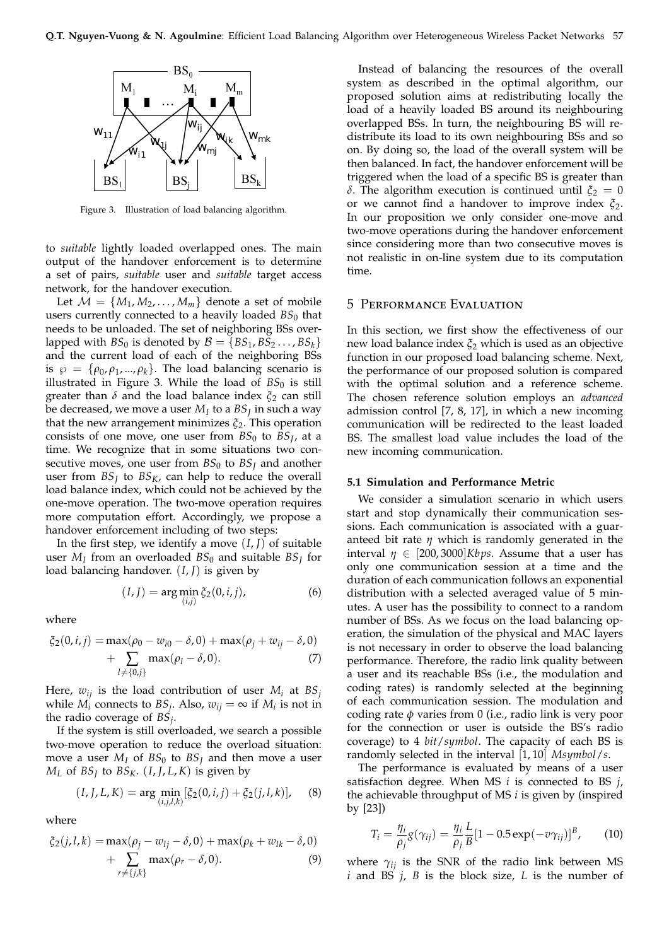

Figure 3. Illustration of load balancing algorithm.

to *suitable* lightly loaded overlapped ones. The main output of the handover enforcement is to determine a set of pairs, *suitable* user and *suitable* target access network, for the handover execution.

Let  $M = \{M_1, M_2, \ldots, M_m\}$  denote a set of mobile users currently connected to a heavily loaded  $BS_0$  that needs to be unloaded. The set of neighboring BSs overlapped with  $BS_0$  is denoted by  $\mathcal{B} = \{BS_1, BS_2 \dots, BS_k\}$ and the current load of each of the neighboring BSs is  $\wp = {\rho_0, \rho_1, ..., \rho_k}$ . The load balancing scenario is illustrated in Figure 3. While the load of  $BS_0$  is still greater than  $\delta$  and the load balance index  $\xi_2$  can still be decreased, we move a user *M<sup>I</sup>* to a *BS<sup>J</sup>* in such a way that the new arrangement minimizes *ξ*2. This operation consists of one move, one user from  $BS_0$  to  $BS_J$ , at a time. We recognize that in some situations two consecutive moves, one user from  $BS_0$  to  $BS<sub>I</sub>$  and another user from  $BS_J$  to  $BS_K$ , can help to reduce the overall load balance index, which could not be achieved by the one-move operation. The two-move operation requires more computation effort. Accordingly, we propose a handover enforcement including of two steps:

In the first step, we identify a move  $(I, J)$  of suitable user  $M_I$  from an overloaded  $BS_0$  and suitable  $BS_J$  for load balancing handover. (*I*, *J*) is given by

$$
(I, J) = \arg\min_{(i,j)} \xi_2(0, i, j),
$$
 (6)

where

$$
\zeta_2(0, i, j) = \max(\rho_0 - w_{i0} - \delta, 0) + \max(\rho_j + w_{ij} - \delta, 0)
$$
  
+ 
$$
\sum_{l \neq \{0, j\}} \max(\rho_l - \delta, 0).
$$
 (7)

Here,  $w_{ij}$  is the load contribution of user  $M_i$  at  $BS_j$ while  $M_i$  connects to  $BS_j$ . Also,  $w_{ij} = \infty$  if  $M_i$  is not in the radio coverage of *BS<sup>j</sup>* .

If the system is still overloaded, we search a possible two-move operation to reduce the overload situation: move a user  $M_I$  of  $BS_0$  to  $BS_I$  and then move a user  $M_L$  of  $BS_J$  to  $BS_K$ .  $(I, J, L, K)$  is given by

$$
(I, J, L, K) = \arg\min_{(i,j,l,k)} [\xi_2(0,i,j) + \xi_2(j,l,k)], \quad (8)
$$

where

$$
\zeta_2(j,l,k) = \max(\rho_j - w_{lj} - \delta, 0) + \max(\rho_k + w_{lk} - \delta, 0)
$$
  
+ 
$$
\sum_{r \neq \{j,k\}} \max(\rho_r - \delta, 0).
$$
 (9)

Instead of balancing the resources of the overall system as described in the optimal algorithm, our proposed solution aims at redistributing locally the load of a heavily loaded BS around its neighbouring overlapped BSs. In turn, the neighbouring BS will redistribute its load to its own neighbouring BSs and so on. By doing so, the load of the overall system will be then balanced. In fact, the handover enforcement will be triggered when the load of a specific BS is greater than *δ*. The algorithm execution is continued until  $ξ<sub>2</sub> = 0$ or we cannot find a handover to improve index *ξ*2. In our proposition we only consider one-move and two-move operations during the handover enforcement since considering more than two consecutive moves is not realistic in on-line system due to its computation time.

#### 5 Performance Evaluation

In this section, we first show the effectiveness of our new load balance index *ξ*<sup>2</sup> which is used as an objective function in our proposed load balancing scheme. Next, the performance of our proposed solution is compared with the optimal solution and a reference scheme. The chosen reference solution employs an *advanced* admission control [7, 8, 17], in which a new incoming communication will be redirected to the least loaded BS. The smallest load value includes the load of the new incoming communication.

#### **5.1 Simulation and Performance Metric**

We consider a simulation scenario in which users start and stop dynamically their communication sessions. Each communication is associated with a guaranteed bit rate *η* which is randomly generated in the interval  $\eta \in [200, 3000]$ *Kbps*. Assume that a user has only one communication session at a time and the duration of each communication follows an exponential distribution with a selected averaged value of 5 minutes. A user has the possibility to connect to a random number of BSs. As we focus on the load balancing operation, the simulation of the physical and MAC layers is not necessary in order to observe the load balancing performance. Therefore, the radio link quality between a user and its reachable BSs (i.e., the modulation and coding rates) is randomly selected at the beginning of each communication session. The modulation and coding rate *φ* varies from 0 (i.e., radio link is very poor for the connection or user is outside the BS's radio coverage) to 4 *bit*/*symbol*. The capacity of each BS is randomly selected in the interval [1, 10] *Msymbol*/*s*.

The performance is evaluated by means of a user satisfaction degree. When MS *i* is connected to BS *j*, the achievable throughput of MS *i* is given by (inspired by [23])

$$
T_i = \frac{\eta_i}{\rho_j} g(\gamma_{ij}) = \frac{\eta_i}{\rho_j} \frac{L}{B} [1 - 0.5 \exp(-v \gamma_{ij})]^B, \qquad (10)
$$

where  $\gamma_{ij}$  is the SNR of the radio link between MS *i* and BS *j*, *B* is the block size, *L* is the number of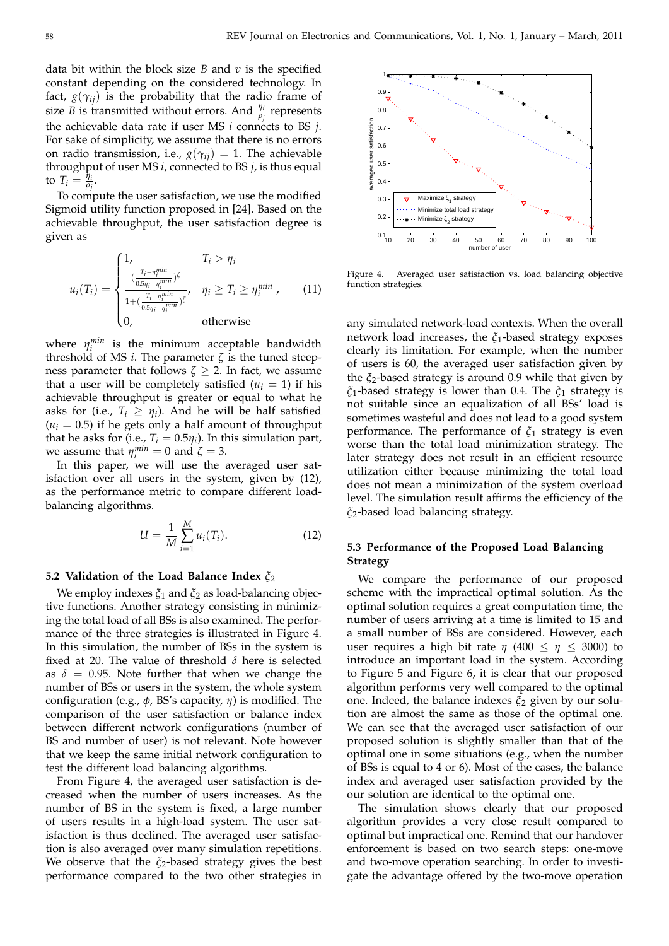data bit within the block size *B* and *v* is the specified constant depending on the considered technology. In fact,  $g(\gamma_{ij})$  is the probability that the radio frame of size *B* is transmitted without errors. And  $\frac{\eta_i}{\rho_j}$  represents the achievable data rate if user MS *i* connects to BS *j*. For sake of simplicity, we assume that there is no errors on radio transmission, i.e.,  $g(\gamma_{ii}) = 1$ . The achievable throughput of user MS *i*, connected to BS *j*, is thus equal to  $T_i = \frac{\bar{\eta}_i}{\rho_i}$ *ρj* .

To compute the user satisfaction, we use the modified Sigmoid utility function proposed in [24]. Based on the achievable throughput, the user satisfaction degree is given as

$$
u_i(T_i) = \begin{cases} 1, & T_i > \eta_i \\ \frac{(\frac{T_i - \eta_i^{min}}{0.5\eta_i - \eta_i^{min}})^{\zeta}}{1 + (\frac{T_i - \eta_i^{min}}{0.5\eta_i - \eta_i^{min}})^{\zeta}}, & \eta_i \ge T_i \ge \eta_i^{min}, \\ 0, & \text{otherwise} \end{cases}
$$
(11)

where  $\eta_i^{min}$  is the minimum acceptable bandwidth threshold of MS  $i$ . The parameter  $\zeta$  is the tuned steepness parameter that follows  $\zeta \geq 2$ . In fact, we assume that a user will be completely satisfied  $(u_i = 1)$  if his achievable throughput is greater or equal to what he asks for (i.e.,  $T_i \geq \eta_i$ ). And he will be half satisfied  $(u_i = 0.5)$  if he gets only a half amount of throughput that he asks for (i.e.,  $T_i = 0.5\eta_i$ ). In this simulation part, we assume that  $\eta_i^{min} = 0$  and  $\zeta = 3$ .

In this paper, we will use the averaged user satisfaction over all users in the system, given by (12), as the performance metric to compare different loadbalancing algorithms.

$$
U = \frac{1}{M} \sum_{i=1}^{M} u_i(T_i).
$$
 (12)

#### **5.2 Validation of the Load Balance Index**  $\zeta$ <sub>2</sub>

We employ indexes *ξ*<sup>1</sup> and *ξ*<sup>2</sup> as load-balancing objective functions. Another strategy consisting in minimizing the total load of all BSs is also examined. The performance of the three strategies is illustrated in Figure 4. In this simulation, the number of BSs in the system is fixed at 20. The value of threshold *δ* here is selected as  $\delta = 0.95$ . Note further that when we change the number of BSs or users in the system, the whole system configuration (e.g., *φ*, BS's capacity, *η*) is modified. The comparison of the user satisfaction or balance index between different network configurations (number of BS and number of user) is not relevant. Note however that we keep the same initial network configuration to test the different load balancing algorithms.

From Figure 4, the averaged user satisfaction is decreased when the number of users increases. As the number of BS in the system is fixed, a large number of users results in a high-load system. The user satisfaction is thus declined. The averaged user satisfaction is also averaged over many simulation repetitions. We observe that the *ξ*2-based strategy gives the best performance compared to the two other strategies in



Figure 4. Averaged user satisfaction vs. load balancing objective function strategies.

any simulated network-load contexts. When the overall network load increases, the *ξ*1-based strategy exposes clearly its limitation. For example, when the number of users is 60, the averaged user satisfaction given by the *ξ*2-based strategy is around 0.9 while that given by *ξ*1-based strategy is lower than 0.4. The *ξ*<sup>1</sup> strategy is not suitable since an equalization of all BSs' load is sometimes wasteful and does not lead to a good system performance. The performance of *ξ*<sup>1</sup> strategy is even worse than the total load minimization strategy. The later strategy does not result in an efficient resource utilization either because minimizing the total load does not mean a minimization of the system overload level. The simulation result affirms the efficiency of the *ξ*2-based load balancing strategy.

## **5.3 Performance of the Proposed Load Balancing Strategy**

We compare the performance of our proposed scheme with the impractical optimal solution. As the optimal solution requires a great computation time, the number of users arriving at a time is limited to 15 and a small number of BSs are considered. However, each user requires a high bit rate  $\eta$  (400  $\leq \eta \leq$  3000) to introduce an important load in the system. According to Figure 5 and Figure 6, it is clear that our proposed algorithm performs very well compared to the optimal one. Indeed, the balance indexes *ξ*<sup>2</sup> given by our solution are almost the same as those of the optimal one. We can see that the averaged user satisfaction of our proposed solution is slightly smaller than that of the optimal one in some situations (e.g., when the number of BSs is equal to 4 or 6). Most of the cases, the balance index and averaged user satisfaction provided by the our solution are identical to the optimal one.

The simulation shows clearly that our proposed algorithm provides a very close result compared to optimal but impractical one. Remind that our handover enforcement is based on two search steps: one-move and two-move operation searching. In order to investigate the advantage offered by the two-move operation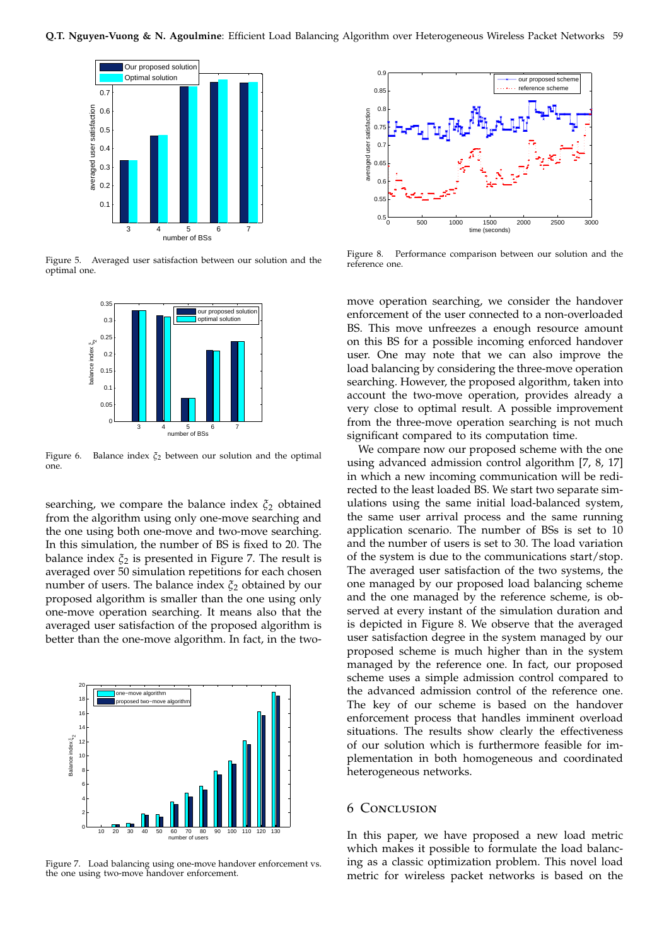

Figure 5. Averaged user satisfaction between our solution and the optimal one.



Figure 6. Balance index *ξ*<sup>2</sup> between our solution and the optimal one.

searching, we compare the balance index *ξ*<sup>2</sup> obtained from the algorithm using only one-move searching and the one using both one-move and two-move searching. In this simulation, the number of BS is fixed to 20. The balance index  $\xi_2$  is presented in Figure 7. The result is averaged over 50 simulation repetitions for each chosen number of users. The balance index *ξ*<sup>2</sup> obtained by our proposed algorithm is smaller than the one using only one-move operation searching. It means also that the averaged user satisfaction of the proposed algorithm is better than the one-move algorithm. In fact, in the two-



Figure 7. Load balancing using one-move handover enforcement vs. the one using two-move handover enforcement.



Figure 8. Performance comparison between our solution and the reference one.

move operation searching, we consider the handover enforcement of the user connected to a non-overloaded BS. This move unfreezes a enough resource amount on this BS for a possible incoming enforced handover user. One may note that we can also improve the load balancing by considering the three-move operation searching. However, the proposed algorithm, taken into account the two-move operation, provides already a very close to optimal result. A possible improvement from the three-move operation searching is not much significant compared to its computation time.

We compare now our proposed scheme with the one using advanced admission control algorithm [7, 8, 17] in which a new incoming communication will be redirected to the least loaded BS. We start two separate simulations using the same initial load-balanced system, the same user arrival process and the same running application scenario. The number of BSs is set to 10 and the number of users is set to 30. The load variation of the system is due to the communications start/stop. The averaged user satisfaction of the two systems, the one managed by our proposed load balancing scheme and the one managed by the reference scheme, is observed at every instant of the simulation duration and is depicted in Figure 8. We observe that the averaged user satisfaction degree in the system managed by our proposed scheme is much higher than in the system managed by the reference one. In fact, our proposed scheme uses a simple admission control compared to the advanced admission control of the reference one. The key of our scheme is based on the handover enforcement process that handles imminent overload situations. The results show clearly the effectiveness of our solution which is furthermore feasible for implementation in both homogeneous and coordinated heterogeneous networks.

#### 6 Conclusion

In this paper, we have proposed a new load metric which makes it possible to formulate the load balancing as a classic optimization problem. This novel load metric for wireless packet networks is based on the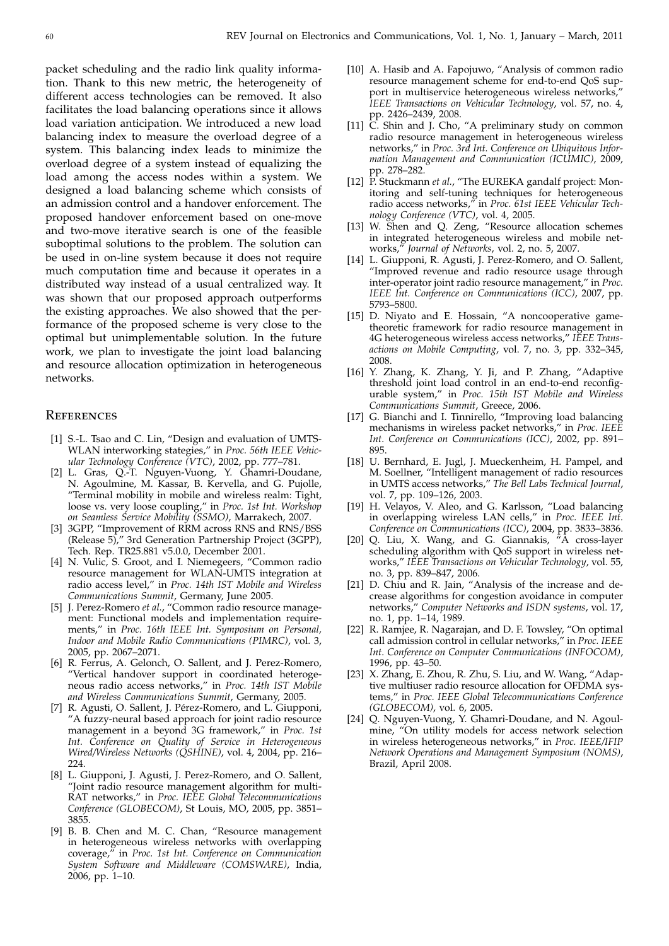packet scheduling and the radio link quality information. Thank to this new metric, the heterogeneity of different access technologies can be removed. It also facilitates the load balancing operations since it allows load variation anticipation. We introduced a new load balancing index to measure the overload degree of a system. This balancing index leads to minimize the overload degree of a system instead of equalizing the load among the access nodes within a system. We designed a load balancing scheme which consists of an admission control and a handover enforcement. The proposed handover enforcement based on one-move and two-move iterative search is one of the feasible suboptimal solutions to the problem. The solution can be used in on-line system because it does not require much computation time and because it operates in a distributed way instead of a usual centralized way. It was shown that our proposed approach outperforms the existing approaches. We also showed that the performance of the proposed scheme is very close to the optimal but unimplementable solution. In the future work, we plan to investigate the joint load balancing and resource allocation optimization in heterogeneous networks.

#### **REFERENCES**

- [1] S.-L. Tsao and C. Lin, "Design and evaluation of UMTS-WLAN interworking stategies," in *Proc. 56th IEEE Vehicular Technology Conference (VTC)*, 2002, pp. 777–781.
- [2] L. Gras, Q.-T. Nguyen-Vuong, Y. Ghamri-Doudane, N. Agoulmine, M. Kassar, B. Kervella, and G. Pujolle, "Terminal mobility in mobile and wireless realm: Tight, loose vs. very loose coupling," in *Proc. 1st Int. Workshop on Seamless Service Mobility (SSMO)*, Marrakech, 2007.
- [3] 3GPP, "Improvement of RRM across RNS and RNS/BSS (Release 5)," 3rd Generation Partnership Project (3GPP), Tech. Rep. TR25.881 v5.0.0, December 2001.
- [4] N. Vulic, S. Groot, and I. Niemegeers, "Common radio resource management for WLAN-UMTS integration at radio access level," in *Proc. 14th IST Mobile and Wireless Communications Summit*, Germany, June 2005.
- [5] J. Perez-Romero *et al.*, "Common radio resource management: Functional models and implementation requirements," in *Proc. 16th IEEE Int. Symposium on Personal, Indoor and Mobile Radio Communications (PIMRC)*, vol. 3, 2005, pp. 2067–2071.
- [6] R. Ferrus, A. Gelonch, O. Sallent, and J. Perez-Romero, "Vertical handover support in coordinated heterogeneous radio access networks," in *Proc. 14th IST Mobile and Wireless Communications Summit*, Germany, 2005.
- [7] R. Agusti, O. Sallent, J. Pérez-Romero, and L. Giupponi, "A fuzzy-neural based approach for joint radio resource management in a beyond 3G framework," in *Proc. 1st Int. Conference on Quality of Service in Heterogeneous Wired/Wireless Networks (QSHINE)*, vol. 4, 2004, pp. 216– 224.
- [8] L. Giupponi, J. Agusti, J. Perez-Romero, and O. Sallent, "Joint radio resource management algorithm for multi-RAT networks," in *Proc. IEEE Global Telecommunications Conference (GLOBECOM)*, St Louis, MO, 2005, pp. 3851– 3855.
- [9] B. B. Chen and M. C. Chan, "Resource management in heterogeneous wireless networks with overlapping coverage," in *Proc. 1st Int. Conference on Communication System Software and Middleware (COMSWARE)*, India, 2006, pp. 1–10.
- [10] A. Hasib and A. Fapojuwo, "Analysis of common radio resource management scheme for end-to-end QoS support in multiservice heterogeneous wireless networks," *IEEE Transactions on Vehicular Technology*, vol. 57, no. 4, pp. 2426–2439, 2008.
- [11] C. Shin and J. Cho, "A preliminary study on common radio resource management in heterogeneous wireless networks," in *Proc. 3rd Int. Conference on Ubiquitous Information Management and Communication (ICUMIC)*, 2009, pp. 278–282.
- [12] P. Stuckmann *et al.*, "The EUREKA gandalf project: Monitoring and self-tuning techniques for heterogeneous radio access networks," in *Proc. 61st IEEE Vehicular Technology Conference (VTC)*, vol. 4, 2005.
- [13] W. Shen and Q. Zeng, "Resource allocation schemes in integrated heterogeneous wireless and mobile networks," *Journal of Networks*, vol. 2, no. 5, 2007.
- [14] L. Giupponi, R. Agusti, J. Perez-Romero, and O. Sallent, "Improved revenue and radio resource usage through inter-operator joint radio resource management," in *Proc. IEEE Int. Conference on Communications (ICC)*, 2007, pp. 5793–5800.
- [15] D. Niyato and E. Hossain, "A noncooperative gametheoretic framework for radio resource management in 4G heterogeneous wireless access networks," *IEEE Transactions on Mobile Computing*, vol. 7, no. 3, pp. 332–345, 2008.
- [16] Y. Zhang, K. Zhang, Y. Ji, and P. Zhang, "Adaptive threshold joint load control in an end-to-end reconfigurable system," in *Proc. 15th IST Mobile and Wireless Communications Summit*, Greece, 2006.
- [17] G. Bianchi and I. Tinnirello, "Improving load balancing mechanisms in wireless packet networks," in *Proc. IEEE Int. Conference on Communications (ICC)*, 2002, pp. 891– 895.
- [18] U. Bernhard, E. Jugl, J. Mueckenheim, H. Pampel, and M. Soellner, "Intelligent management of radio resources in UMTS access networks," *The Bell Labs Technical Journal*, vol. 7, pp. 109–126, 2003.
- [19] H. Velayos, V. Aleo, and G. Karlsson, "Load balancing in overlapping wireless LAN cells," in *Proc. IEEE Int. Conference on Communications (ICC)*, 2004, pp. 3833–3836.
- [20] Q. Liu, X. Wang, and G. Giannakis, "A cross-layer scheduling algorithm with QoS support in wireless networks," *IEEE Transactions on Vehicular Technology*, vol. 55, no. 3, pp. 839–847, 2006.
- [21] D. Chiu and R. Jain, "Analysis of the increase and decrease algorithms for congestion avoidance in computer networks," *Computer Networks and ISDN systems*, vol. 17, no. 1, pp. 1–14, 1989.
- [22] R. Ramjee, R. Nagarajan, and D. F. Towsley, "On optimal call admission control in cellular networks," in *Proc. IEEE Int. Conference on Computer Communications (INFOCOM)*, 1996, pp. 43–50.
- [23] X. Zhang, E. Zhou, R. Zhu, S. Liu, and W. Wang, "Adaptive multiuser radio resource allocation for OFDMA systems," in *Proc. IEEE Global Telecommunications Conference (GLOBECOM)*, vol. 6, 2005.
- [24] Q. Nguyen-Vuong, Y. Ghamri-Doudane, and N. Agoulmine, "On utility models for access network selection in wireless heterogeneous networks," in *Proc. IEEE/IFIP Network Operations and Management Symposium (NOMS)*, Brazil, April 2008.